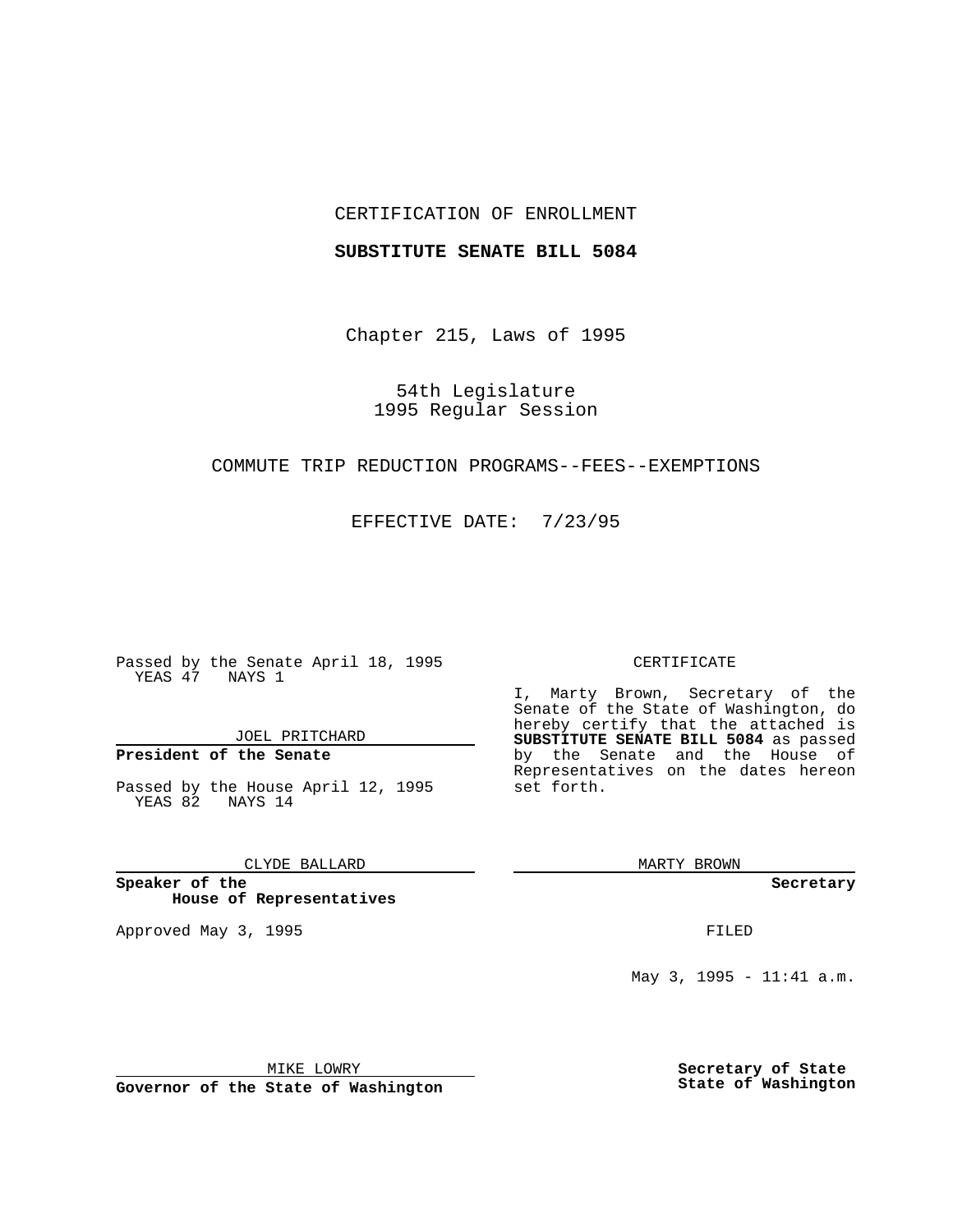## CERTIFICATION OF ENROLLMENT

## **SUBSTITUTE SENATE BILL 5084**

Chapter 215, Laws of 1995

54th Legislature 1995 Regular Session

# COMMUTE TRIP REDUCTION PROGRAMS--FEES--EXEMPTIONS

EFFECTIVE DATE: 7/23/95

Passed by the Senate April 18, 1995 YEAS 47 NAYS 1

JOEL PRITCHARD

**President of the Senate**

Passed by the House April 12, 1995 YEAS 82 NAYS 14

CLYDE BALLARD

**Speaker of the House of Representatives**

Approved May 3, 1995 **FILED** 

#### CERTIFICATE

I, Marty Brown, Secretary of the Senate of the State of Washington, do hereby certify that the attached is **SUBSTITUTE SENATE BILL 5084** as passed by the Senate and the House of Representatives on the dates hereon set forth.

MARTY BROWN

**Secretary**

May 3, 1995 - 11:41 a.m.

MIKE LOWRY

**Governor of the State of Washington**

**Secretary of State State of Washington**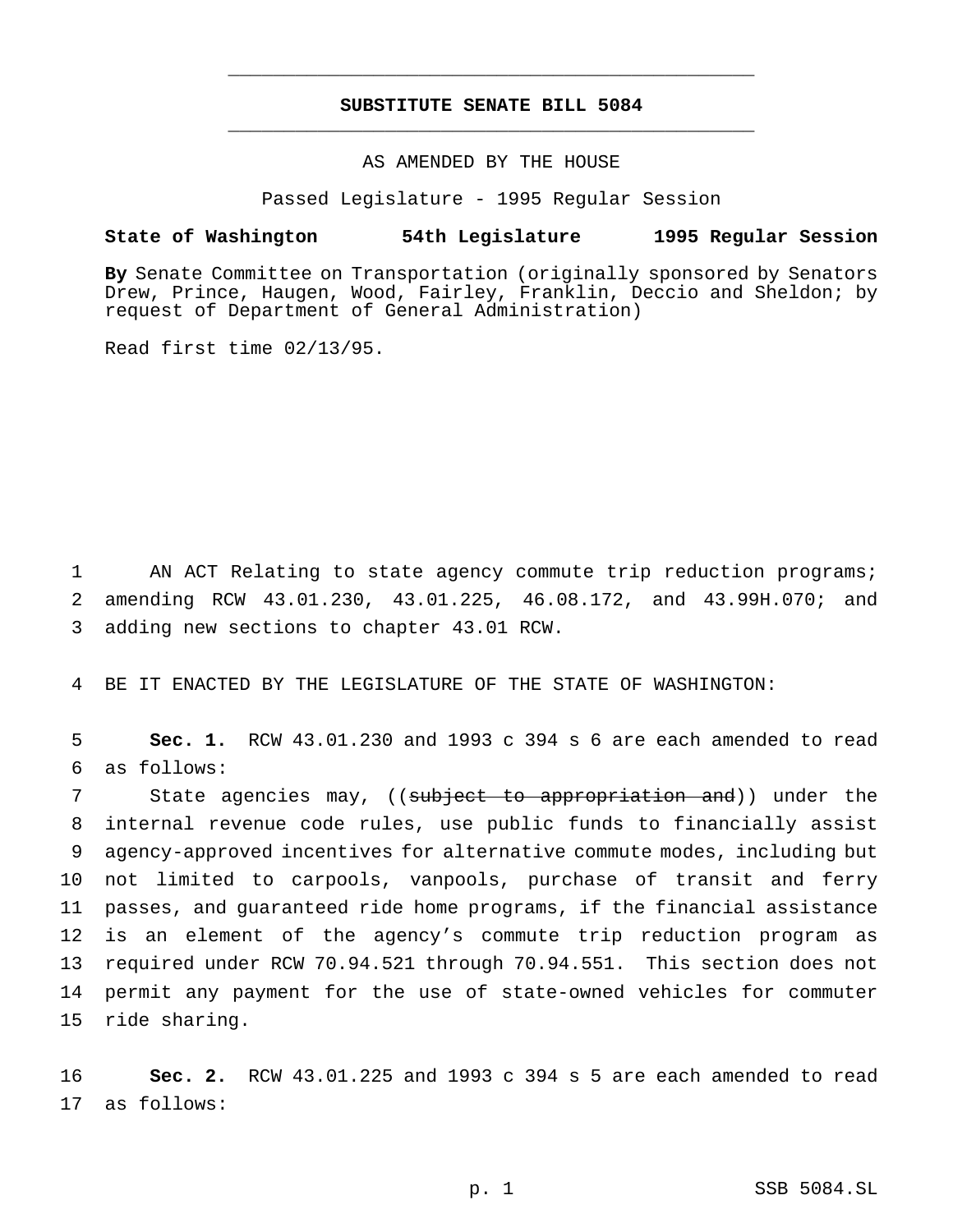# **SUBSTITUTE SENATE BILL 5084** \_\_\_\_\_\_\_\_\_\_\_\_\_\_\_\_\_\_\_\_\_\_\_\_\_\_\_\_\_\_\_\_\_\_\_\_\_\_\_\_\_\_\_\_\_\_\_

\_\_\_\_\_\_\_\_\_\_\_\_\_\_\_\_\_\_\_\_\_\_\_\_\_\_\_\_\_\_\_\_\_\_\_\_\_\_\_\_\_\_\_\_\_\_\_

# AS AMENDED BY THE HOUSE

Passed Legislature - 1995 Regular Session

## **State of Washington 54th Legislature 1995 Regular Session**

**By** Senate Committee on Transportation (originally sponsored by Senators Drew, Prince, Haugen, Wood, Fairley, Franklin, Deccio and Sheldon; by request of Department of General Administration)

Read first time 02/13/95.

1 AN ACT Relating to state agency commute trip reduction programs; 2 amending RCW 43.01.230, 43.01.225, 46.08.172, and 43.99H.070; and 3 adding new sections to chapter 43.01 RCW.

4 BE IT ENACTED BY THE LEGISLATURE OF THE STATE OF WASHINGTON:

5 **Sec. 1.** RCW 43.01.230 and 1993 c 394 s 6 are each amended to read 6 as follows:

7 State agencies may, ((subject to appropriation and)) under the internal revenue code rules, use public funds to financially assist agency-approved incentives for alternative commute modes, including but not limited to carpools, vanpools, purchase of transit and ferry passes, and guaranteed ride home programs, if the financial assistance is an element of the agency's commute trip reduction program as required under RCW 70.94.521 through 70.94.551. This section does not permit any payment for the use of state-owned vehicles for commuter ride sharing.

16 **Sec. 2.** RCW 43.01.225 and 1993 c 394 s 5 are each amended to read 17 as follows: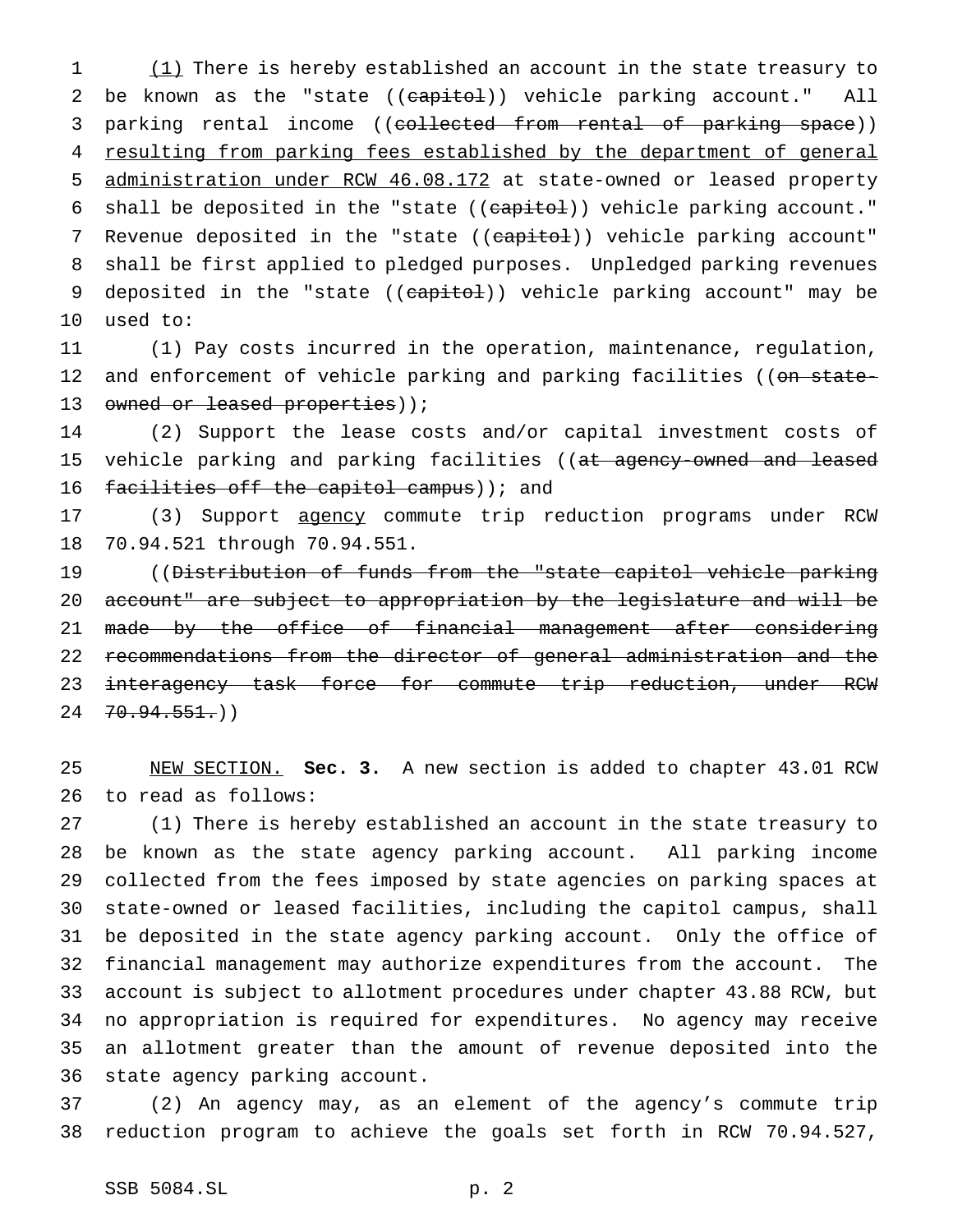1 (1) There is hereby established an account in the state treasury to 2 be known as the "state ((capitol)) vehicle parking account." All 3 parking rental income ((collected from rental of parking space)) 4 resulting from parking fees established by the department of general 5 administration under RCW 46.08.172 at state-owned or leased property 6 shall be deposited in the "state ((capitol)) vehicle parking account." 7 Revenue deposited in the "state ((capitol)) vehicle parking account" 8 shall be first applied to pledged purposes. Unpledged parking revenues 9 deposited in the "state ((capitol)) vehicle parking account" may be 10 used to:

11 (1) Pay costs incurred in the operation, maintenance, regulation, 12 and enforcement of vehicle parking and parking facilities ((on state-13 owned or leased properties));

14 (2) Support the lease costs and/or capital investment costs of 15 vehicle parking and parking facilities ((at agency-owned and leased 16 facilities off the capitol campus) ; and

17 (3) Support agency commute trip reduction programs under RCW 18 70.94.521 through 70.94.551.

19 ((Distribution of funds from the "state capitol vehicle parking 20 account" are subject to appropriation by the legislature and will be 21 made by the office of financial management after considering 22 recommendations from the director of general administration and the 23 interagency task force for commute trip reduction, under RCW  $24 \quad 70.94.551()$ 

25 NEW SECTION. **Sec. 3.** A new section is added to chapter 43.01 RCW 26 to read as follows:

 (1) There is hereby established an account in the state treasury to be known as the state agency parking account. All parking income collected from the fees imposed by state agencies on parking spaces at state-owned or leased facilities, including the capitol campus, shall be deposited in the state agency parking account. Only the office of financial management may authorize expenditures from the account. The account is subject to allotment procedures under chapter 43.88 RCW, but no appropriation is required for expenditures. No agency may receive an allotment greater than the amount of revenue deposited into the state agency parking account.

37 (2) An agency may, as an element of the agency's commute trip 38 reduction program to achieve the goals set forth in RCW 70.94.527,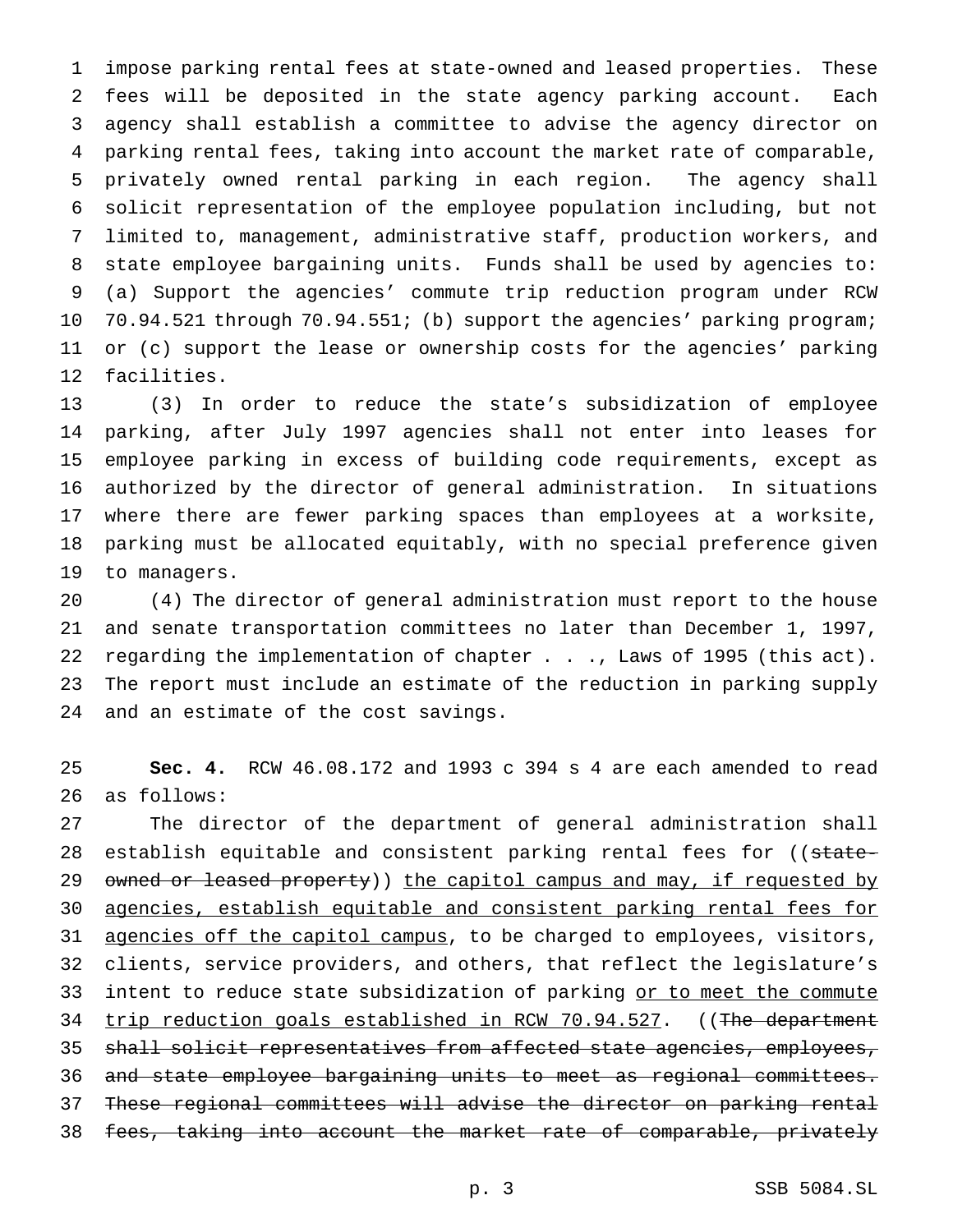impose parking rental fees at state-owned and leased properties. These fees will be deposited in the state agency parking account. Each agency shall establish a committee to advise the agency director on parking rental fees, taking into account the market rate of comparable, privately owned rental parking in each region. The agency shall solicit representation of the employee population including, but not limited to, management, administrative staff, production workers, and state employee bargaining units. Funds shall be used by agencies to: (a) Support the agencies' commute trip reduction program under RCW 70.94.521 through 70.94.551; (b) support the agencies' parking program; or (c) support the lease or ownership costs for the agencies' parking facilities.

 (3) In order to reduce the state's subsidization of employee parking, after July 1997 agencies shall not enter into leases for employee parking in excess of building code requirements, except as authorized by the director of general administration. In situations where there are fewer parking spaces than employees at a worksite, parking must be allocated equitably, with no special preference given to managers.

 (4) The director of general administration must report to the house and senate transportation committees no later than December 1, 1997, regarding the implementation of chapter . . ., Laws of 1995 (this act). The report must include an estimate of the reduction in parking supply and an estimate of the cost savings.

 **Sec. 4.** RCW 46.08.172 and 1993 c 394 s 4 are each amended to read as follows:

 The director of the department of general administration shall 28 establish equitable and consistent parking rental fees for ((state-29 owned or leased property)) the capitol campus and may, if requested by agencies, establish equitable and consistent parking rental fees for 31 agencies off the capitol campus, to be charged to employees, visitors, clients, service providers, and others, that reflect the legislature's 33 intent to reduce state subsidization of parking or to meet the commute 34 trip reduction goals established in RCW 70.94.527. ((The department shall solicit representatives from affected state agencies, employees, and state employee bargaining units to meet as regional committees. These regional committees will advise the director on parking rental fees, taking into account the market rate of comparable, privately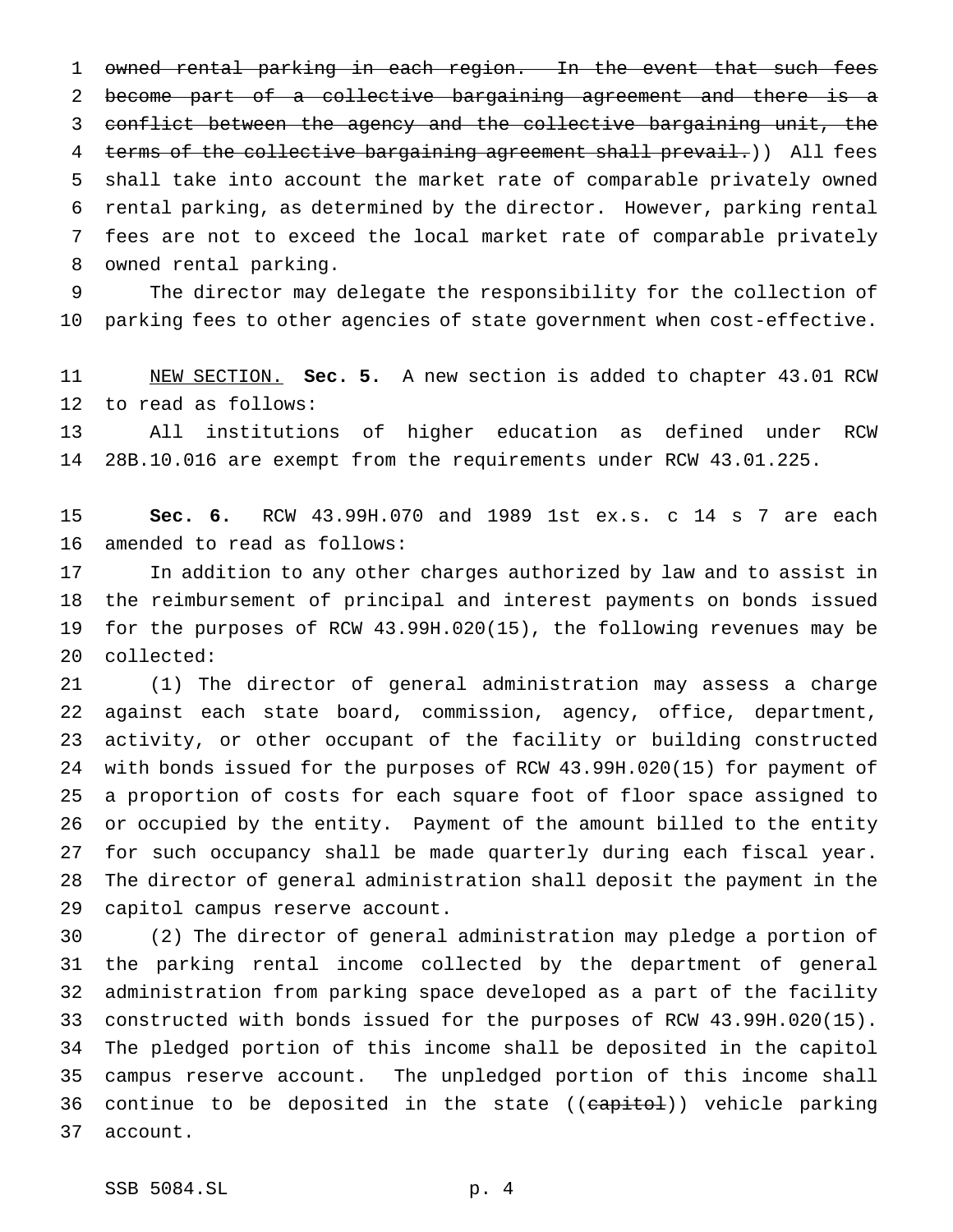owned rental parking in each region. In the event that such fees become part of a collective bargaining agreement and there is a conflict between the agency and the collective bargaining unit, the 4 terms of the collective bargaining agreement shall prevail.)) All fees shall take into account the market rate of comparable privately owned rental parking, as determined by the director. However, parking rental fees are not to exceed the local market rate of comparable privately owned rental parking.

 The director may delegate the responsibility for the collection of parking fees to other agencies of state government when cost-effective.

 NEW SECTION. **Sec. 5.** A new section is added to chapter 43.01 RCW to read as follows:

 All institutions of higher education as defined under RCW 28B.10.016 are exempt from the requirements under RCW 43.01.225.

 **Sec. 6.** RCW 43.99H.070 and 1989 1st ex.s. c 14 s 7 are each amended to read as follows:

 In addition to any other charges authorized by law and to assist in the reimbursement of principal and interest payments on bonds issued for the purposes of RCW 43.99H.020(15), the following revenues may be collected:

 (1) The director of general administration may assess a charge against each state board, commission, agency, office, department, activity, or other occupant of the facility or building constructed with bonds issued for the purposes of RCW 43.99H.020(15) for payment of a proportion of costs for each square foot of floor space assigned to or occupied by the entity. Payment of the amount billed to the entity for such occupancy shall be made quarterly during each fiscal year. The director of general administration shall deposit the payment in the capitol campus reserve account.

 (2) The director of general administration may pledge a portion of the parking rental income collected by the department of general administration from parking space developed as a part of the facility constructed with bonds issued for the purposes of RCW 43.99H.020(15). The pledged portion of this income shall be deposited in the capitol campus reserve account. The unpledged portion of this income shall 36 continue to be deposited in the state ((capitol)) vehicle parking account.